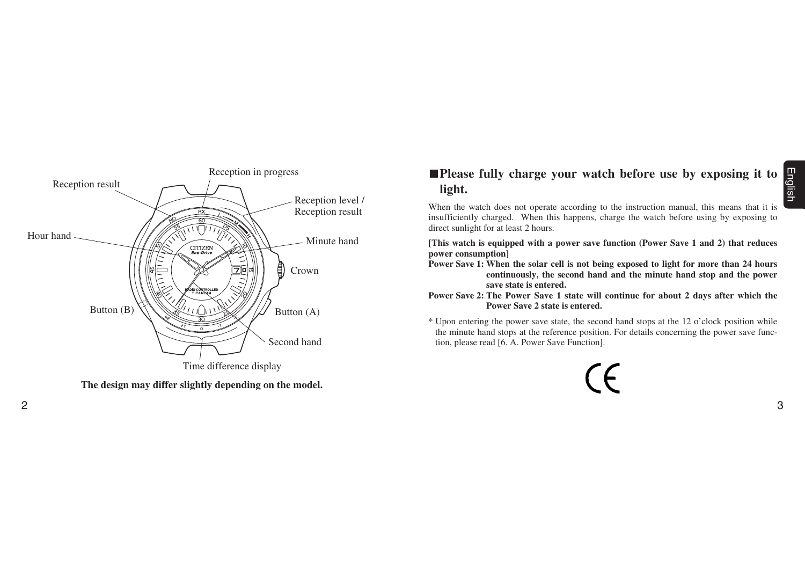

**The design may differ slightly depending on the model.**

# **Please fully charge your watch before use by exposing it to light.**

When the watch does not operate according to the instruction manual, this means that it is insufficiently charged. When this happens, charge the watch before using by exposing to direct sunlight for at least 2 hours.

**[This watch is equipped with a power save function (Power Save 1 and 2) that reduces power consumption]**

- **Power Save 1: When the solar cell is not being exposed to light for more than 24 hours continuously, the second hand and the minute hand stop and the power save state is entered.**
- **Power Save 2: The Power Save 1 state will continue for about 2 days after which the Power Save 2 state is entered.**
- \* Upon entering the power save state, the second hand stops at the 12 o'clock position while the minute hand stops at the reference position. For details concerning the power save function, please read [6. A. Power Save Function].

 $\epsilon$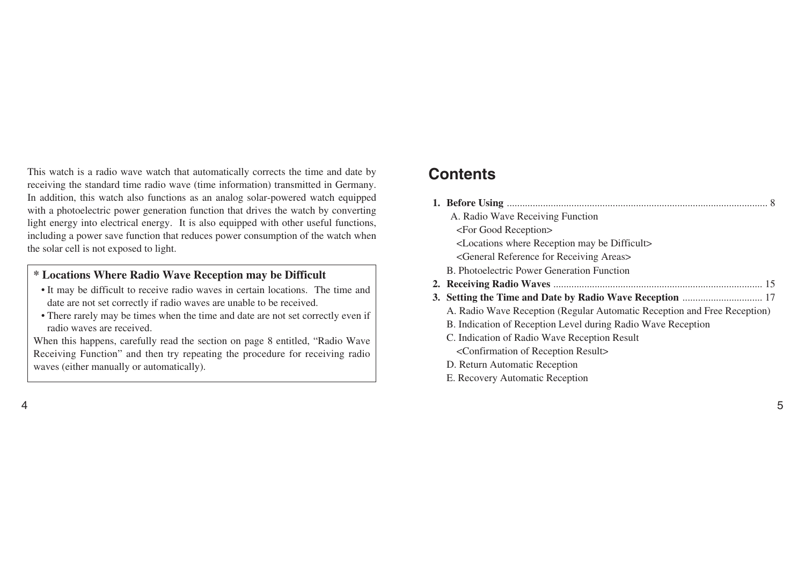This watch is a radio wave watch that automatically corrects the time and date by receiving the standard time radio wave (time information) transmitted in Germany. In addition, this watch also functions as an analog solar-powered watch equipped with a photoelectric power generation function that drives the watch by converting light energy into electrical energy. It is also equipped with other useful functions, including a power save function that reduces power consumption of the watch when the solar cell is not exposed to light.

# **\* Locations Where Radio Wave Reception may be Difficult**

- It may be difficult to receive radio waves in certain locations. The time and date are not set correctly if radio waves are unable to be received.
- There rarely may be times when the time and date are not set correctly even if radio waves are received.

When this happens, carefully read the section on page 8 entitled, "Radio Wave Receiving Function" and then try repeating the procedure for receiving radio waves (either manually or automatically).

# **Contents**

| A. Radio Wave Receiving Function                                         |  |
|--------------------------------------------------------------------------|--|
| <for good="" reception=""></for>                                         |  |
| <locations be="" difficult="" may="" reception="" where=""></locations>  |  |
| <general areas="" for="" receiving="" reference=""></general>            |  |
| B. Photoelectric Power Generation Function                               |  |
|                                                                          |  |
|                                                                          |  |
| A. Radio Wave Reception (Regular Automatic Reception and Free Reception) |  |
| B. Indication of Reception Level during Radio Wave Reception             |  |
| C. Indication of Radio Wave Reception Result                             |  |
| <confirmation of="" reception="" result=""></confirmation>               |  |
| D. Return Automatic Reception                                            |  |
| E. Recovery Automatic Reception                                          |  |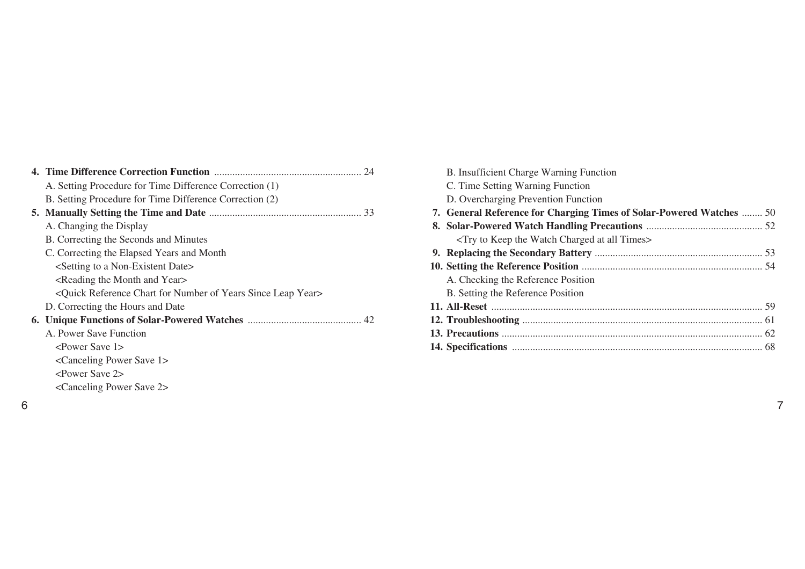| A. Setting Procedure for Time Difference Correction (1)                                        |
|------------------------------------------------------------------------------------------------|
| B. Setting Procedure for Time Difference Correction (2)                                        |
|                                                                                                |
| A. Changing the Display                                                                        |
| B. Correcting the Seconds and Minutes                                                          |
| C. Correcting the Elapsed Years and Month                                                      |
| <setting a="" date="" non-existent="" to=""></setting>                                         |
| <reading and="" month="" the="" year=""></reading>                                             |
| <quick chart="" for="" leap="" number="" of="" reference="" since="" year="" years=""></quick> |
| D. Correcting the Hours and Date                                                               |
|                                                                                                |
| A. Power Save Function                                                                         |
| <power 1="" save=""></power>                                                                   |
| <canceling 1="" power="" save=""></canceling>                                                  |
| <power 2="" save=""></power>                                                                   |
| <canceling 2="" power="" save=""></canceling>                                                  |

| B. Insufficient Charge Warning Function                                    |  |
|----------------------------------------------------------------------------|--|
| C. Time Setting Warning Function                                           |  |
| D. Overcharging Prevention Function                                        |  |
| 7. General Reference for Charging Times of Solar-Powered Watches  50       |  |
|                                                                            |  |
| <try all="" at="" charged="" keep="" the="" times="" to="" watch=""></try> |  |
|                                                                            |  |
|                                                                            |  |
| A. Checking the Reference Position                                         |  |
| B. Setting the Reference Position                                          |  |
|                                                                            |  |
|                                                                            |  |
|                                                                            |  |
|                                                                            |  |
|                                                                            |  |

6 a *7*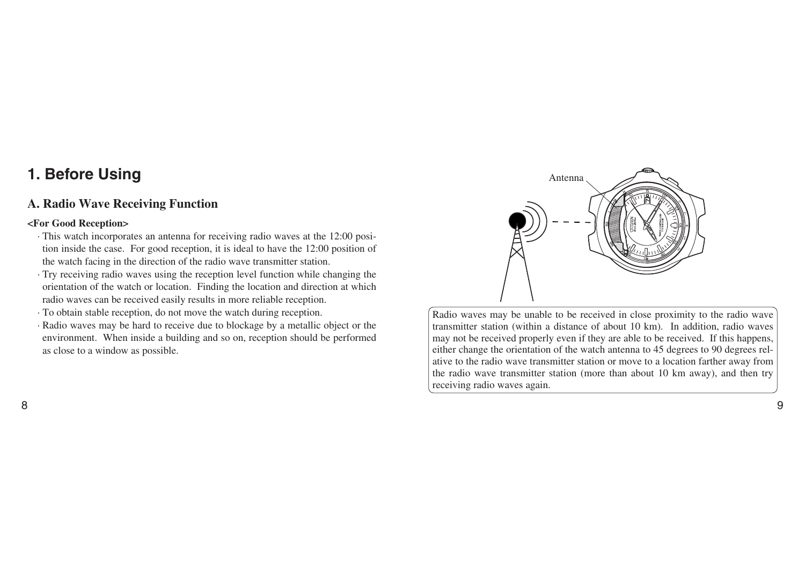# **1. Before Using**

# **A. Radio Wave Receiving Function**

#### **<For Good Reception>**

- · This watch incorporates an antenna for receiving radio waves at the 12:00 position inside the case. For good reception, it is ideal to have the 12:00 position of the watch facing in the direction of the radio wave transmitter station.
- · Try receiving radio waves using the reception level function while changing the orientation of the watch or location. Finding the location and direction at which radio waves can be received easily results in more reliable reception.
- · To obtain stable reception, do not move the watch during reception.
- · Radio waves may be hard to receive due to blockage by a metallic object or the environment. When inside a building and so on, reception should be performed as close to a window as possible.



Radio waves may be unable to be received in close proximity to the radio wave transmitter station (within a distance of about 10 km). In addition, radio waves may not be received properly even if they are able to be received. If this happens, either change the orientation of the watch antenna to 45 degrees to 90 degrees relative to the radio wave transmitter station or move to a location farther away from the radio wave transmitter station (more than about 10 km away), and then try receiving radio waves again.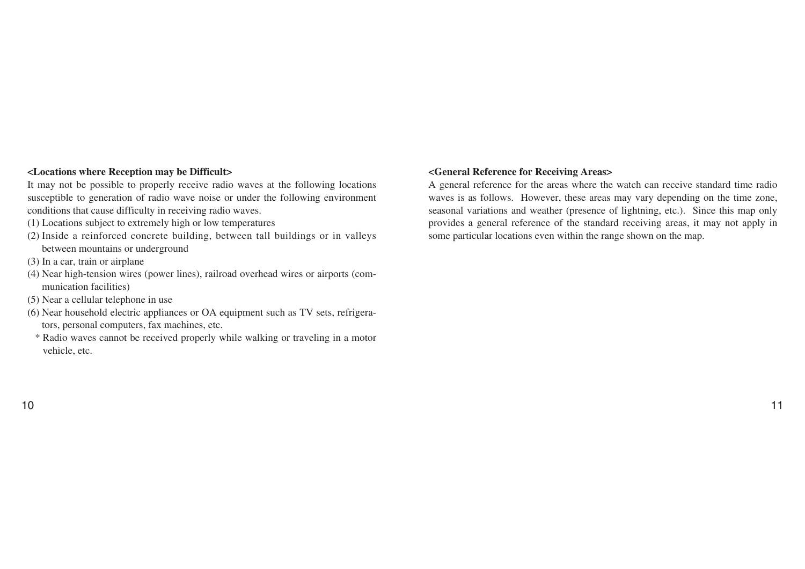#### **<Locations where Reception may be Difficult>**

It may not be possible to properly receive radio waves at the following locations susceptible to generation of radio wave noise or under the following environment conditions that cause difficulty in receiving radio waves.

- (1) Locations subject to extremely high or low temperatures
- (2) Inside a reinforced concrete building, between tall buildings or in valleys between mountains or underground
- (3) In a car, train or airplane
- (4) Near high-tension wires (power lines), railroad overhead wires or airports (communication facilities)
- (5) Near a cellular telephone in use
- (6) Near household electric appliances or OA equipment such as TV sets, refrigerators, personal computers, fax machines, etc.
- \* Radio waves cannot be received properly while walking or traveling in a motor vehicle, etc.

#### **<General Reference for Receiving Areas>**

A general reference for the areas where the watch can receive standard time radio waves is as follows. However, these areas may vary depending on the time zone, seasonal variations and weather (presence of lightning, etc.). Since this map only provides a general reference of the standard receiving areas, it may not apply in some particular locations even within the range shown on the map.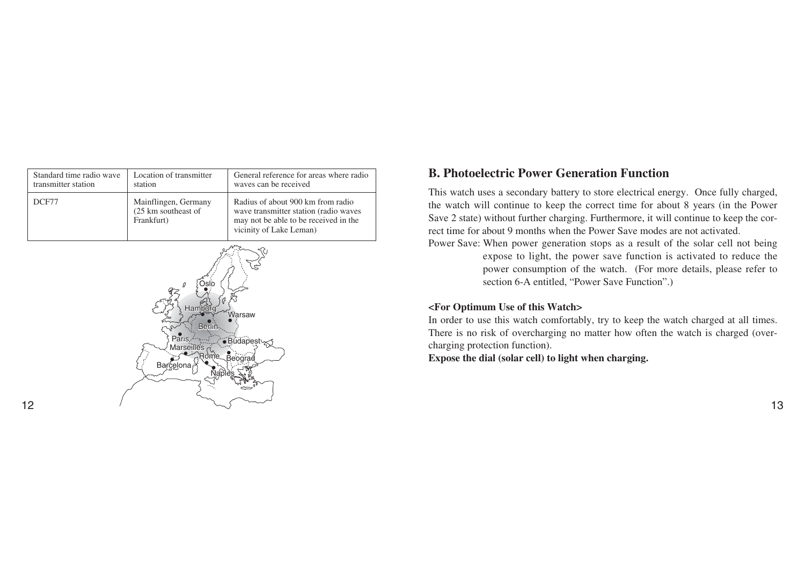| Standard time radio wave | Location of transmitter                                   | General reference for areas where radio                                                                                                        |  |
|--------------------------|-----------------------------------------------------------|------------------------------------------------------------------------------------------------------------------------------------------------|--|
| transmitter station      | station                                                   | waves can be received                                                                                                                          |  |
| DCF77                    | Mainflingen, Germany<br>(25 km southeast of<br>Frankfurt) | Radius of about 900 km from radio<br>wave transmitter station (radio waves<br>may not be able to be received in the<br>vicinity of Lake Leman) |  |



# **B. Photoelectric Power Generation Function**

This watch uses a secondary battery to store electrical energy. Once fully charged, the watch will continue to keep the correct time for about 8 years (in the Power Save 2 state) without further charging. Furthermore, it will continue to keep the correct time for about 9 months when the Power Save modes are not activated.

Power Save: When power generation stops as a result of the solar cell not being expose to light, the power save function is activated to reduce the power consumption of the watch. (For more details, please refer to section 6-A entitled, "Power Save Function".)

#### **<For Optimum Use of this Watch>**

In order to use this watch comfortably, try to keep the watch charged at all times. There is no risk of overcharging no matter how often the watch is charged (overcharging protection function).

**Expose the dial (solar cell) to light when charging.**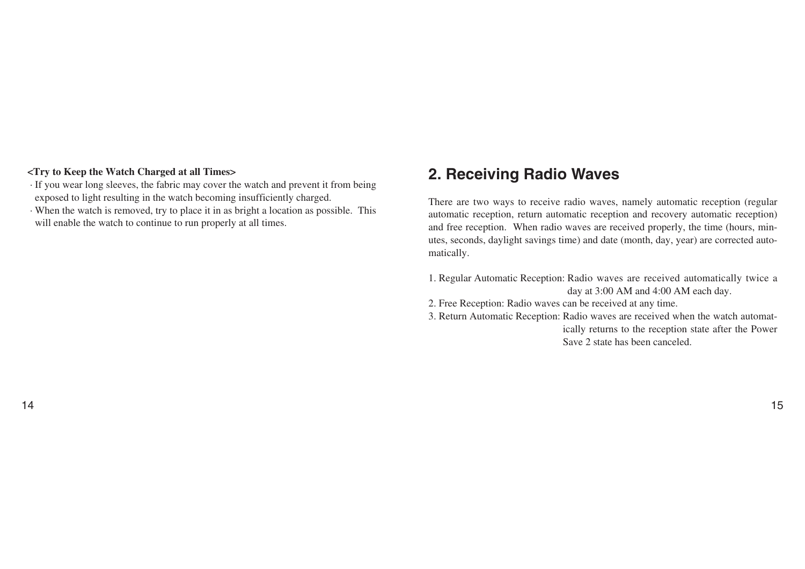#### **<Try to Keep the Watch Charged at all Times>**

- · If you wear long sleeves, the fabric may cover the watch and prevent it from being exposed to light resulting in the watch becoming insufficiently charged.
- · When the watch is removed, try to place it in as bright a location as possible. This will enable the watch to continue to run properly at all times.

# **2. Receiving Radio Waves**

There are two ways to receive radio waves, namely automatic reception (regular automatic reception, return automatic reception and recovery automatic reception) and free reception. When radio waves are received properly, the time (hours, minutes, seconds, daylight savings time) and date (month, day, year) are corrected automatically.

- 1. Regular Automatic Reception: Radio waves are received automatically twice a day at 3:00 AM and 4:00 AM each day.
- 2. Free Reception: Radio waves can be received at any time.
- 3. Return Automatic Reception: Radio waves are received when the watch automatically returns to the reception state after the Power Save 2 state has been canceled.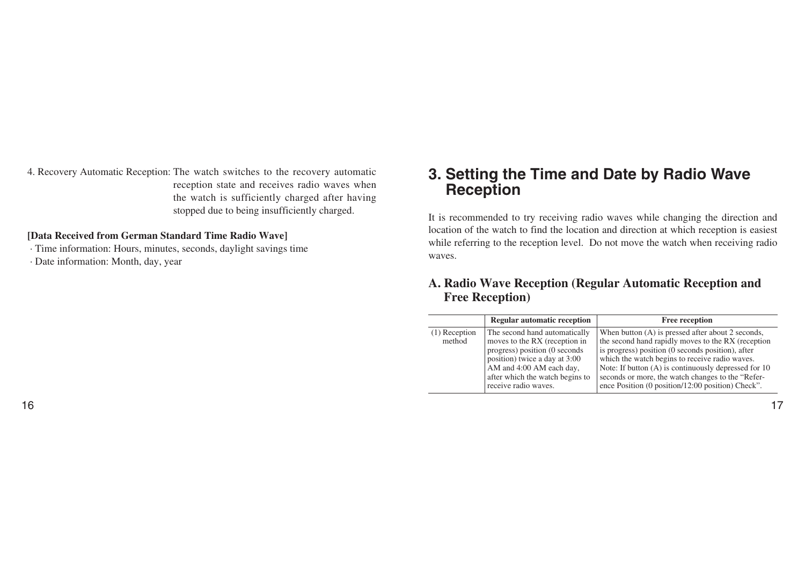4. Recovery Automatic Reception: The watch switches to the recovery automatic reception state and receives radio waves when the watch is sufficiently charged after having stopped due to being insufficiently charged.

#### **[Data Received from German Standard Time Radio Wave]**

· Time information: Hours, minutes, seconds, daylight savings time

· Date information: Month, day, year

# **3. Setting the Time and Date by Radio Wave Reception**

It is recommended to try receiving radio waves while changing the direction and location of the watch to find the location and direction at which reception is easiest while referring to the reception level. Do not move the watch when receiving radio waves.

# **A. Radio Wave Reception (Regular Automatic Reception and Free Reception)**

|                           | <b>Regular automatic reception</b>                                                                                                                                                                                      | <b>Free reception</b>                                                                                                                                                                                                                                                                                                                                                            |
|---------------------------|-------------------------------------------------------------------------------------------------------------------------------------------------------------------------------------------------------------------------|----------------------------------------------------------------------------------------------------------------------------------------------------------------------------------------------------------------------------------------------------------------------------------------------------------------------------------------------------------------------------------|
| $(1)$ Reception<br>method | The second hand automatically<br>moves to the RX (reception in<br>progress) position (0 seconds<br>position) twice a day at 3:00<br>AM and 4:00 AM each day,<br>after which the watch begins to<br>receive radio waves. | When button (A) is pressed after about 2 seconds,<br>the second hand rapidly moves to the RX (reception<br>is progress) position (0 seconds position), after<br>which the watch begins to receive radio waves.<br>Note: If button (A) is continuously depressed for 10<br>seconds or more, the watch changes to the "Refer-<br>ence Position (0 position/12:00 position) Check". |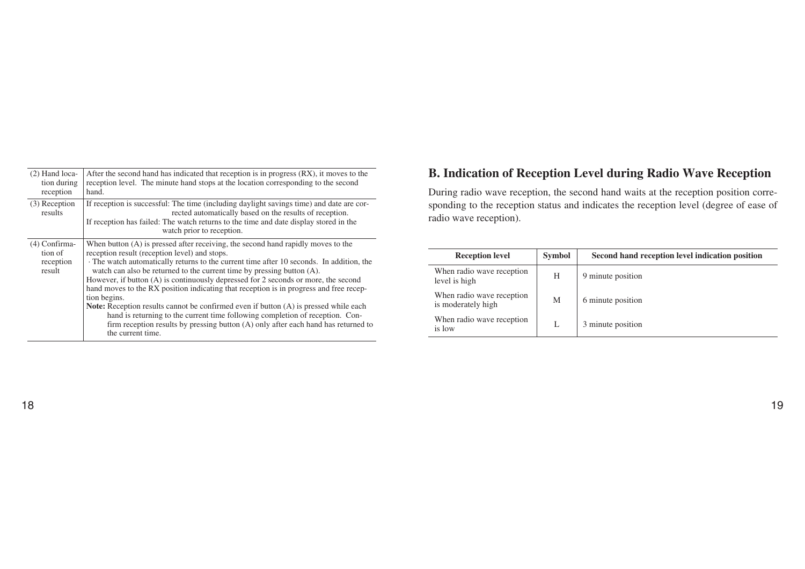| $(2)$ Hand loca-<br>tion during<br>reception    | After the second hand has indicated that reception is in progress (RX), it moves to the<br>reception level. The minute hand stops at the location corresponding to the second<br>hand.                                                                                                                                                                                                                                                                                                                                                                                                                                                                                                                                                                                                             |
|-------------------------------------------------|----------------------------------------------------------------------------------------------------------------------------------------------------------------------------------------------------------------------------------------------------------------------------------------------------------------------------------------------------------------------------------------------------------------------------------------------------------------------------------------------------------------------------------------------------------------------------------------------------------------------------------------------------------------------------------------------------------------------------------------------------------------------------------------------------|
| $(3)$ Reception<br>results                      | If reception is successful: The time (including daylight savings time) and date are cor-<br>rected automatically based on the results of reception.<br>If reception has failed: The watch returns to the time and date display stored in the<br>watch prior to reception.                                                                                                                                                                                                                                                                                                                                                                                                                                                                                                                          |
| (4) Confirma-<br>tion of<br>reception<br>result | When button (A) is pressed after receiving, the second hand rapidly moves to the<br>reception result (reception level) and stops.<br>The watch automatically returns to the current time after 10 seconds. In addition, the<br>watch can also be returned to the current time by pressing button (A).<br>However, if button (A) is continuously depressed for 2 seconds or more, the second<br>hand moves to the RX position indicating that reception is in progress and free recep-<br>tion begins.<br><b>Note:</b> Reception results cannot be confirmed even if button (A) is pressed while each<br>hand is returning to the current time following completion of reception. Con-<br>firm reception results by pressing button $(A)$ only after each hand has returned to<br>the current time. |

# **B. Indication of Reception Level during Radio Wave Reception**

During radio wave reception, the second hand waits at the reception position corresponding to the reception status and indicates the reception level (degree of ease of radio wave reception).

| <b>Reception level</b>                          | <b>Symbol</b> | Second hand reception level indication position |
|-------------------------------------------------|---------------|-------------------------------------------------|
| When radio wave reception<br>level is high      | H             | 9 minute position                               |
| When radio wave reception<br>is moderately high | М             | 6 minute position                               |
| When radio wave reception<br>is low             |               | 3 minute position                               |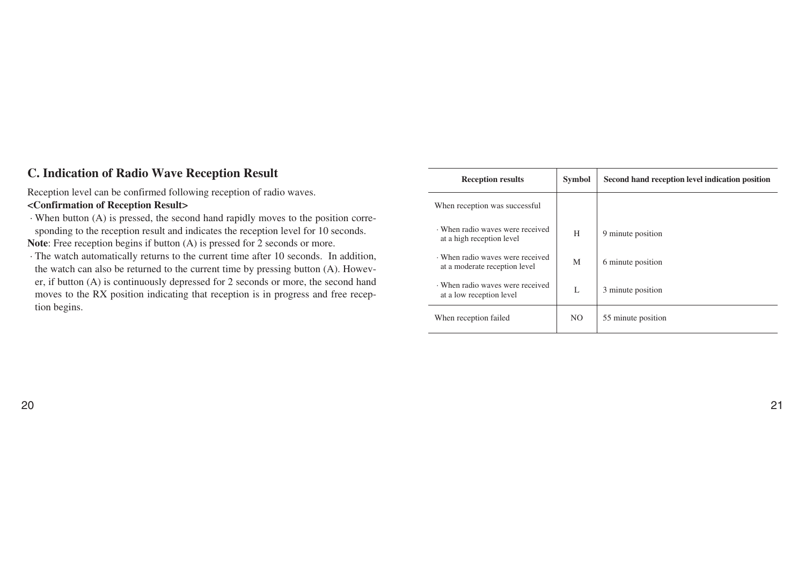# **C. Indication of Radio Wave Reception Result**

Reception level can be confirmed following reception of radio waves.

## **<Confirmation of Reception Result>**

· When button (A) is pressed, the second hand rapidly moves to the position corresponding to the reception result and indicates the reception level for 10 seconds.

**Note**: Free reception begins if button (A) is pressed for 2 seconds or more.

· The watch automatically returns to the current time after 10 seconds. In addition, the watch can also be returned to the current time by pressing button (A). However, if button (A) is continuously depressed for 2 seconds or more, the second hand moves to the RX position indicating that reception is in progress and free reception begins.

| <b>Reception results</b>                                        | <b>Symbol</b>  | Second hand reception level indication position |
|-----------------------------------------------------------------|----------------|-------------------------------------------------|
| When reception was successful                                   |                |                                                 |
| When radio waves were received<br>at a high reception level     | H              | 9 minute position                               |
| When radio waves were received<br>at a moderate reception level | M              | 6 minute position                               |
| When radio waves were received<br>at a low reception level      | L              | 3 minute position                               |
| When reception failed                                           | N <sub>O</sub> | 55 minute position                              |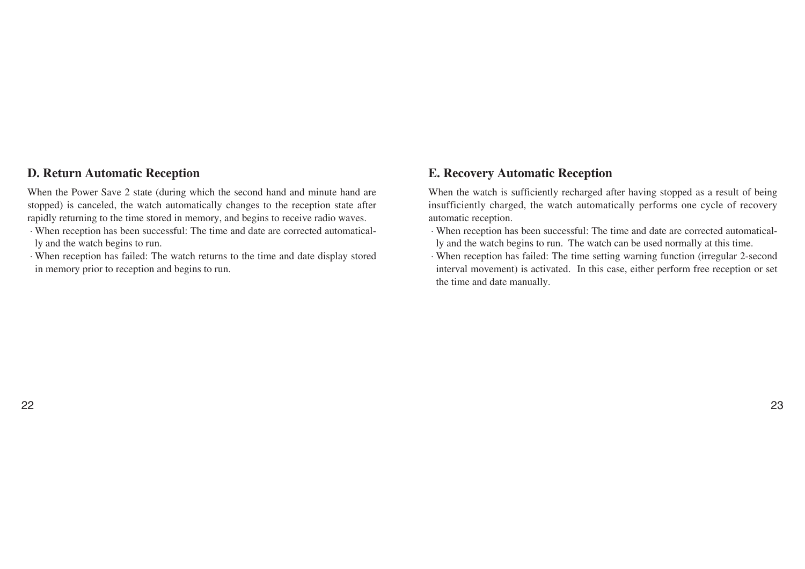## **D. Return Automatic Reception**

When the Power Save 2 state (during which the second hand and minute hand are stopped) is canceled, the watch automatically changes to the reception state after rapidly returning to the time stored in memory, and begins to receive radio waves.

- · When reception has been successful: The time and date are corrected automatically and the watch begins to run.
- · When reception has failed: The watch returns to the time and date display stored in memory prior to reception and begins to run.

# **E. Recovery Automatic Reception**

When the watch is sufficiently recharged after having stopped as a result of being insufficiently charged, the watch automatically performs one cycle of recovery automatic reception.

- · When reception has been successful: The time and date are corrected automatically and the watch begins to run. The watch can be used normally at this time.
- · When reception has failed: The time setting warning function (irregular 2-second interval movement) is activated. In this case, either perform free reception or set the time and date manually.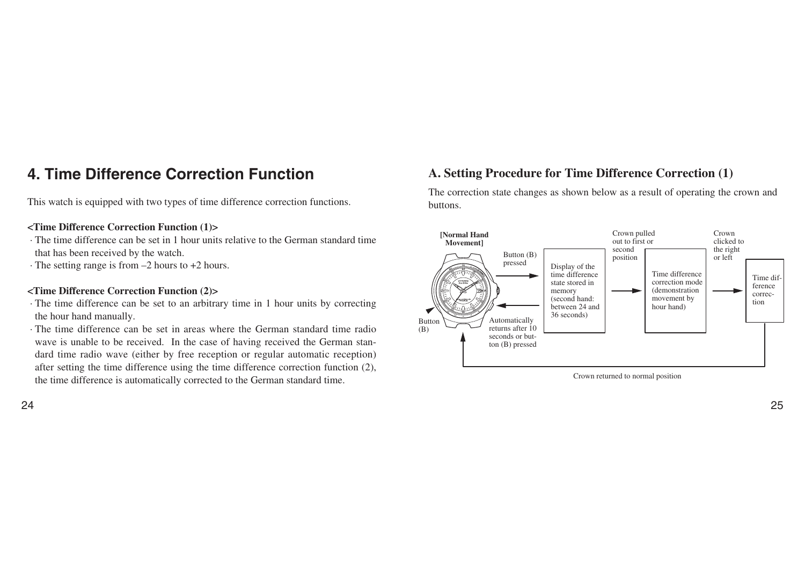# **4. Time Difference Correction Function**

This watch is equipped with two types of time difference correction functions.

#### **<Time Difference Correction Function (1)>**

- · The time difference can be set in 1 hour units relative to the German standard time that has been received by the watch.
- · The setting range is from –2 hours to +2 hours.

#### **<Time Difference Correction Function (2)>**

- · The time difference can be set to an arbitrary time in 1 hour units by correcting the hour hand manually.
- · The time difference can be set in areas where the German standard time radio wave is unable to be received. In the case of having received the German standard time radio wave (either by free reception or regular automatic reception) after setting the time difference using the time difference correction function (2), the time difference is automatically corrected to the German standard time.

### 24 година в 1925 година в 1926 година в 1926 година в 1926 година в 1925 година в 1925 година в 1930 година в<br>24 август 1930 година в 1930 година в 1930 година в 1930 година в 1930 година в 1930 година в 1930 година в 19

# **A. Setting Procedure for Time Difference Correction (1)**

The correction state changes as shown below as a result of operating the crown and buttons.



Crown returned to normal position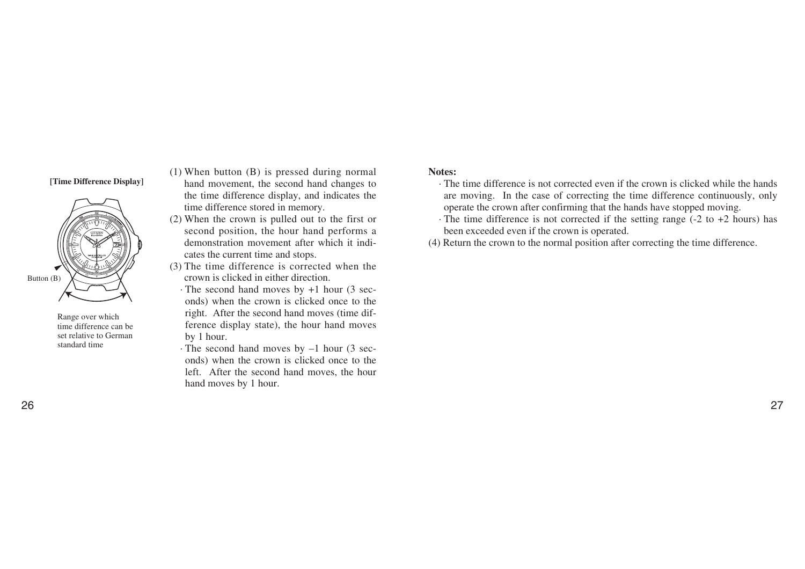#### **[Time Difference Display]**



Range over which time difference can be set relative to German standard time

- (1) When button (B) is pressed during normal hand movement, the second hand changes to the time difference display, and indicates the time difference stored in memory.
- (2) When the crown is pulled out to the first or second position, the hour hand performs a demonstration movement after which it indicates the current time and stops.
- (3) The time difference is corrected when the crown is clicked in either direction.
	- · The second hand moves by +1 hour (3 seconds) when the crown is clicked once to the right. After the second hand moves (time difference display state), the hour hand moves by 1 hour.
- · The second hand moves by –1 hour (3 seconds) when the crown is clicked once to the left. After the second hand moves, the hour hand moves by 1 hour.

#### **Notes:**

- · The time difference is not corrected even if the crown is clicked while the hands are moving. In the case of correcting the time difference continuously, only operate the crown after confirming that the hands have stopped moving.
- $\cdot$  The time difference is not corrected if the setting range (-2 to +2 hours) has been exceeded even if the crown is operated.
- (4) Return the crown to the normal position after correcting the time difference.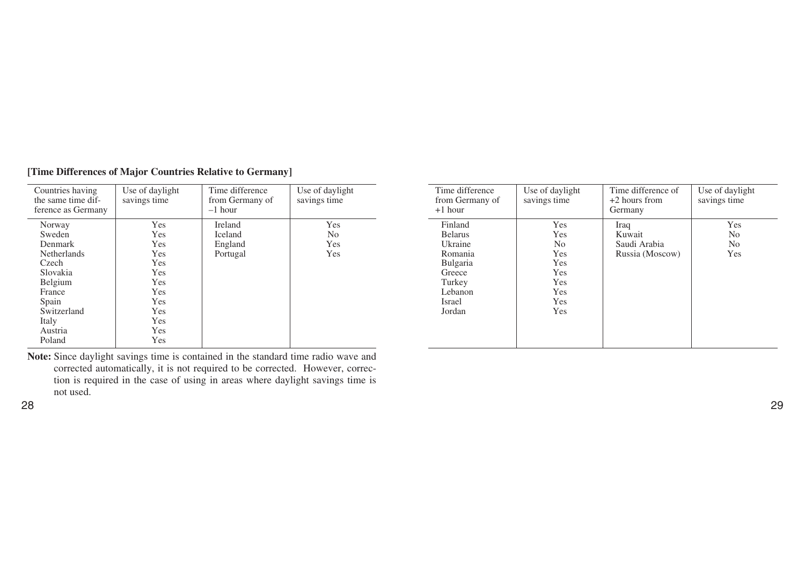| Countries having<br>the same time dif-<br>ference as Germany | Use of daylight<br>savings time | Time difference<br>from Germany of<br>$-1$ hour | Use of daylight<br>savings time |
|--------------------------------------------------------------|---------------------------------|-------------------------------------------------|---------------------------------|
| Norway                                                       | Yes                             | <b>Ireland</b>                                  | Yes                             |
| Sweden                                                       | Yes                             | Iceland                                         | No.                             |
| <b>Denmark</b>                                               | Yes                             | England                                         | Yes                             |
| <b>Netherlands</b>                                           | Yes                             | Portugal                                        | Yes                             |
| Czech                                                        | Yes                             |                                                 |                                 |
| Slovakia                                                     | Yes                             |                                                 |                                 |
| Belgium                                                      | Yes                             |                                                 |                                 |
| France                                                       | Yes                             |                                                 |                                 |
| Spain                                                        | Yes                             |                                                 |                                 |
| Switzerland                                                  | Yes                             |                                                 |                                 |
| Italy                                                        | Yes                             |                                                 |                                 |
| Austria                                                      | Yes                             |                                                 |                                 |
| Poland                                                       | Yes                             |                                                 |                                 |

### **[Time Differences of Major Countries Relative to Germany]**

**Note:** Since daylight savings time is contained in the standard time radio wave and corrected automatically, it is not required to be corrected. However, correction is required in the case of using in areas where daylight savings time is not used.

| Time difference<br>from Germany of<br>$+1$ hour                                                                       | Use of daylight<br>savings time                                                                                                       | Time difference of<br>$+2$ hours from<br>Germany  | Use of daylight<br>savings time                |
|-----------------------------------------------------------------------------------------------------------------------|---------------------------------------------------------------------------------------------------------------------------------------|---------------------------------------------------|------------------------------------------------|
| Finland<br><b>Belarus</b><br>Ukraine<br>Romania<br><b>Bulgaria</b><br>Greece<br>Turkey<br>Lebanon<br>Israel<br>Jordan | <b>Yes</b><br><b>Yes</b><br>N <sub>o</sub><br><b>Yes</b><br><b>Yes</b><br><b>Yes</b><br><b>Yes</b><br><b>Yes</b><br><b>Yes</b><br>Yes | Iraq<br>Kuwait<br>Saudi Arabia<br>Russia (Moscow) | Yes<br>N <sub>0</sub><br>N <sub>o</sub><br>Yes |

28 29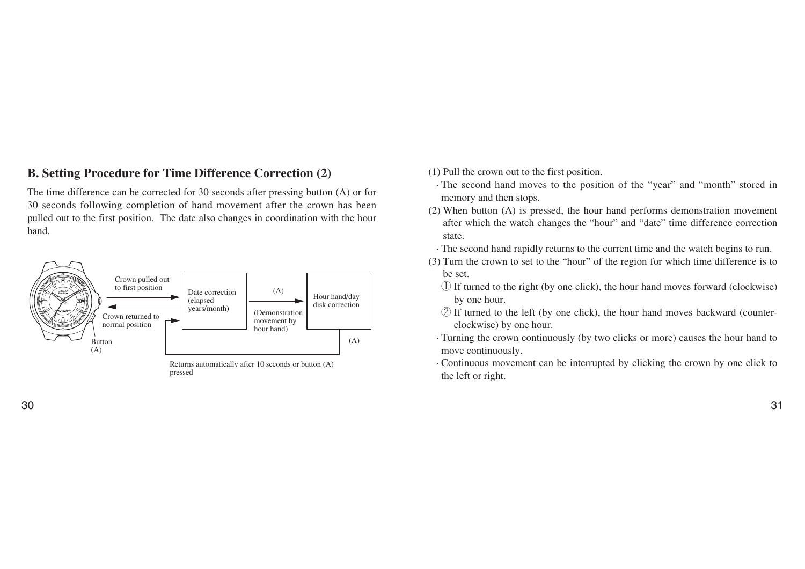# **B. Setting Procedure for Time Difference Correction (2)**

The time difference can be corrected for 30 seconds after pressing button (A) or for 30 seconds following completion of hand movement after the crown has been pulled out to the first position. The date also changes in coordination with the hour hand.



Returns automatically after 10 seconds or button (A) pressed

- (1) Pull the crown out to the first position.
	- · The second hand moves to the position of the "year" and "month" stored in memory and then stops.
- (2) When button (A) is pressed, the hour hand performs demonstration movement after which the watch changes the "hour" and "date" time difference correction state.
- · The second hand rapidly returns to the current time and the watch begins to run.
- (3) Turn the crown to set to the "hour" of the region for which time difference is to be set.
	- **①** If turned to the right (by one click), the hour hand moves forward (clockwise) by one hour.
	- **②** If turned to the left (by one click), the hour hand moves backward (counterclockwise) by one hour.
	- · Turning the crown continuously (by two clicks or more) causes the hour hand to move continuously.
	- · Continuous movement can be interrupted by clicking the crown by one click to the left or right.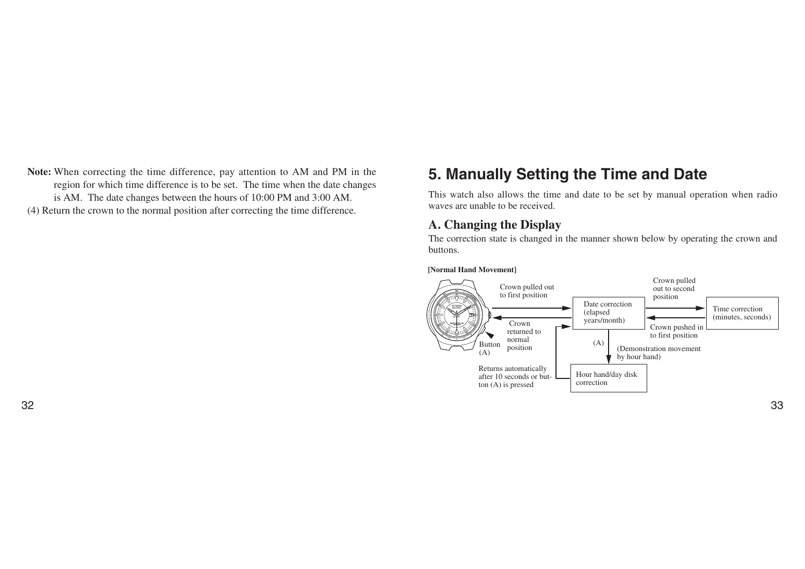**Note:** When correcting the time difference, pay attention to AM and PM in the region for which time difference is to be set. The time when the date changes is AM. The date changes between the hours of 10:00 PM and 3:00 AM. (4) Return the crown to the normal position after correcting the time difference.

# **5. Manually Setting the Time and Date**

This watch also allows the time and date to be set by manual operation when radio waves are unable to be received.

## **A. Changing the Display**

The correction state is changed in the manner shown below by operating the crown and buttons.

**[Normal Hand Movement]**

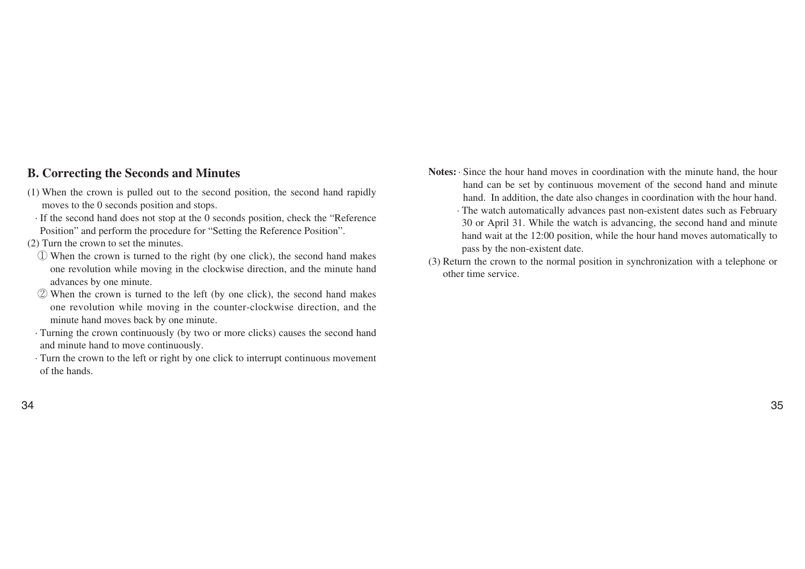## **B. Correcting the Seconds and Minutes**

- (1) When the crown is pulled out to the second position, the second hand rapidly moves to the 0 seconds position and stops.
- · If the second hand does not stop at the 0 seconds position, check the "Reference Position" and perform the procedure for "Setting the Reference Position".
- (2) Turn the crown to set the minutes.
	- **①** When the crown is turned to the right (by one click), the second hand makes one revolution while moving in the clockwise direction, and the minute hand advances by one minute.
	- **②** When the crown is turned to the left (by one click), the second hand makes one revolution while moving in the counter-clockwise direction, and the minute hand moves back by one minute.
- · Turning the crown continuously (by two or more clicks) causes the second hand and minute hand to move continuously.
- · Turn the crown to the left or right by one click to interrupt continuous movement of the hands.
- **Notes:**· Since the hour hand moves in coordination with the minute hand, the hour hand can be set by continuous movement of the second hand and minute hand. In addition, the date also changes in coordination with the hour hand.
	- · The watch automatically advances past non-existent dates such as February 30 or April 31. While the watch is advancing, the second hand and minute hand wait at the 12:00 position, while the hour hand moves automatically to pass by the non-existent date.
- (3) Return the crown to the normal position in synchronization with a telephone or other time service.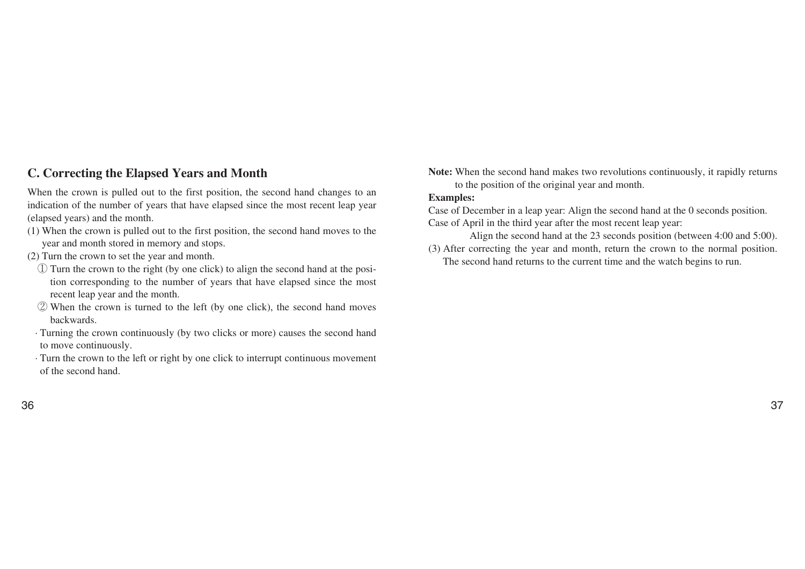## **C. Correcting the Elapsed Years and Month**

When the crown is pulled out to the first position, the second hand changes to an indication of the number of years that have elapsed since the most recent leap year (elapsed years) and the month.

- (1) When the crown is pulled out to the first position, the second hand moves to the year and month stored in memory and stops.
- (2) Turn the crown to set the year and month.
	- **①** Turn the crown to the right (by one click) to align the second hand at the position corresponding to the number of years that have elapsed since the most recent leap year and the month.
	- **②** When the crown is turned to the left (by one click), the second hand moves backwards.
- · Turning the crown continuously (by two clicks or more) causes the second hand to move continuously.
- · Turn the crown to the left or right by one click to interrupt continuous movement of the second hand.

**Note:** When the second hand makes two revolutions continuously, it rapidly returns to the position of the original year and month.

#### **Examples:**

Case of December in a leap year: Align the second hand at the 0 seconds position. Case of April in the third year after the most recent leap year:

- Align the second hand at the 23 seconds position (between 4:00 and 5:00).
- (3) After correcting the year and month, return the crown to the normal position. The second hand returns to the current time and the watch begins to run.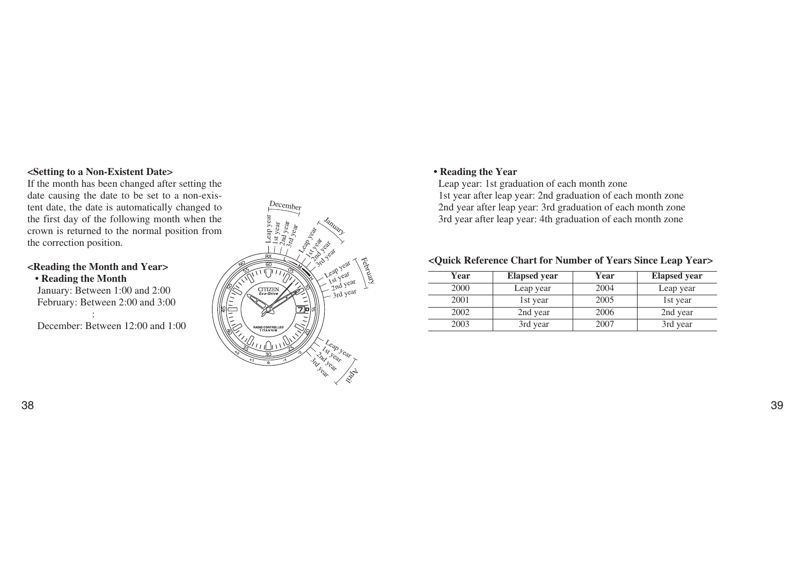#### **<Setting to a Non-Existent Date>**

If the month has been changed after setting the date causing the date to be set to a non-existent date, the date is automatically changed to the first day of the following month when the crown is returned to the normal position from the correction position.

#### **<Reading the Month and Year>**

#### **• Reading the Month**

January: Between 1:00 and 2:00 February: Between 2:00 and 3:00

:

December: Between 12:00 and 1:00



### **• Reading the Year**

Leap year: 1st graduation of each month zone 1st year after leap year: 2nd graduation of each month zone 2nd year after leap year: 3rd graduation of each month zone 3rd year after leap year: 4th graduation of each month zone

## **<Quick Reference Chart for Number of Years Since Leap Year>**

| Year | <b>Elapsed</b> year | Year | <b>Elapsed</b> year |
|------|---------------------|------|---------------------|
| 2000 | Leap year           | 2004 | Leap year           |
| 2001 | 1st year            | 2005 | 1st year            |
| 2002 | 2nd year            | 2006 | 2nd year            |
| 2003 | 3rd year            | 2007 | 3rd year            |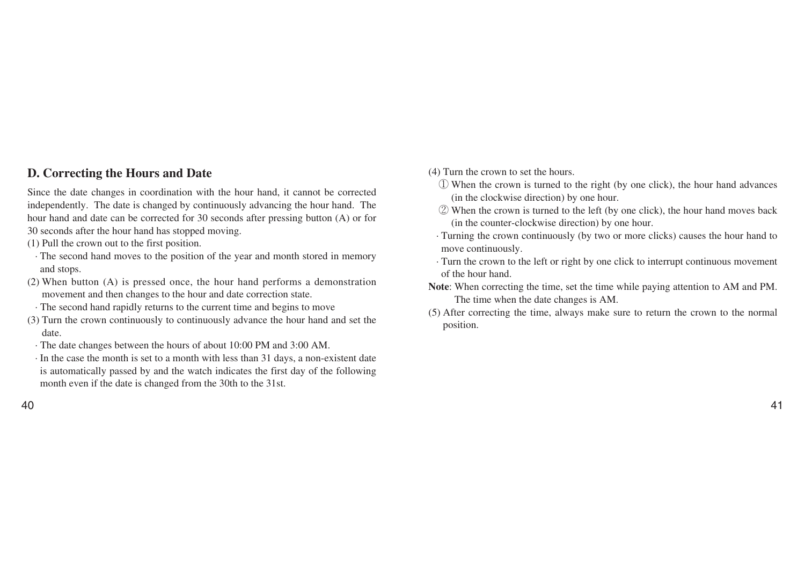## **D. Correcting the Hours and Date**

Since the date changes in coordination with the hour hand, it cannot be corrected independently. The date is changed by continuously advancing the hour hand. The hour hand and date can be corrected for 30 seconds after pressing button (A) or for 30 seconds after the hour hand has stopped moving.

- (1) Pull the crown out to the first position.
- · The second hand moves to the position of the year and month stored in memory and stops.
- (2) When button (A) is pressed once, the hour hand performs a demonstration movement and then changes to the hour and date correction state.
- · The second hand rapidly returns to the current time and begins to move
- (3) Turn the crown continuously to continuously advance the hour hand and set the date.
- · The date changes between the hours of about 10:00 PM and 3:00 AM.
- · In the case the month is set to a month with less than 31 days, a non-existent date is automatically passed by and the watch indicates the first day of the following month even if the date is changed from the 30th to the 31st.
- (4) Turn the crown to set the hours.
	- **①** When the crown is turned to the right (by one click), the hour hand advances (in the clockwise direction) by one hour.
	- **②** When the crown is turned to the left (by one click), the hour hand moves back (in the counter-clockwise direction) by one hour.
	- · Turning the crown continuously (by two or more clicks) causes the hour hand to move continuously.
	- · Turn the crown to the left or right by one click to interrupt continuous movement of the hour hand.
- **Note**: When correcting the time, set the time while paying attention to AM and PM. The time when the date changes is AM.
- (5) After correcting the time, always make sure to return the crown to the normal position.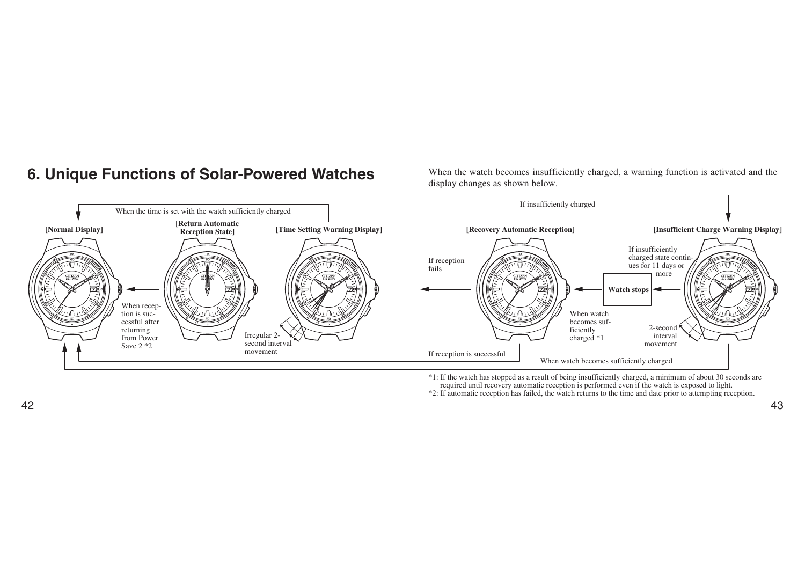**6. Unique Functions of Solar-Powered Watches** When the watch becomes insufficiently charged, a warning function is activated and the display changes as shown below.



\*1: If the watch has stopped as a result of being insufficiently charged, a minimum of about 30 seconds are required until recovery automatic reception is performed even if the watch is exposed to light.

\*2: If automatic reception has failed, the watch returns to the time and date prior to attempting reception.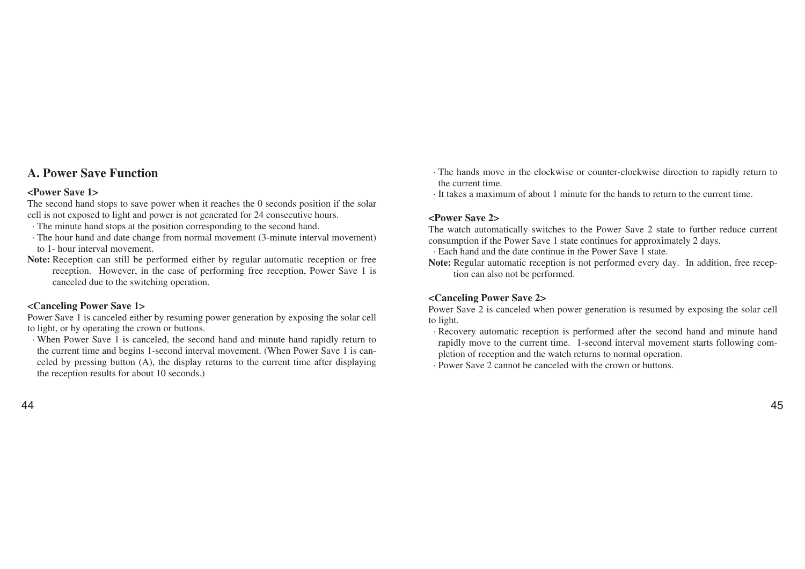## **A. Power Save Function**

#### **<Power Save 1>**

The second hand stops to save power when it reaches the 0 seconds position if the solar cell is not exposed to light and power is not generated for 24 consecutive hours.

- · The minute hand stops at the position corresponding to the second hand.
- · The hour hand and date change from normal movement (3-minute interval movement) to 1- hour interval movement.
- **Note:** Reception can still be performed either by regular automatic reception or free reception. However, in the case of performing free reception, Power Save 1 is canceled due to the switching operation.

#### **<Canceling Power Save 1>**

Power Save 1 is canceled either by resuming power generation by exposing the solar cell to light, or by operating the crown or buttons.

· When Power Save 1 is canceled, the second hand and minute hand rapidly return to the current time and begins 1-second interval movement. (When Power Save 1 is canceled by pressing button (A), the display returns to the current time after displaying the reception results for about 10 seconds.)

- · The hands move in the clockwise or counter-clockwise direction to rapidly return to the current time.
- · It takes a maximum of about 1 minute for the hands to return to the current time.

#### **<Power Save 2>**

The watch automatically switches to the Power Save 2 state to further reduce current consumption if the Power Save 1 state continues for approximately 2 days.

· Each hand and the date continue in the Power Save 1 state.

**Note:** Regular automatic reception is not performed every day. In addition, free reception can also not be performed.

#### **<Canceling Power Save 2>**

Power Save 2 is canceled when power generation is resumed by exposing the solar cell to light.

- · Recovery automatic reception is performed after the second hand and minute hand rapidly move to the current time. 1-second interval movement starts following completion of reception and the watch returns to normal operation.
- · Power Save 2 cannot be canceled with the crown or buttons.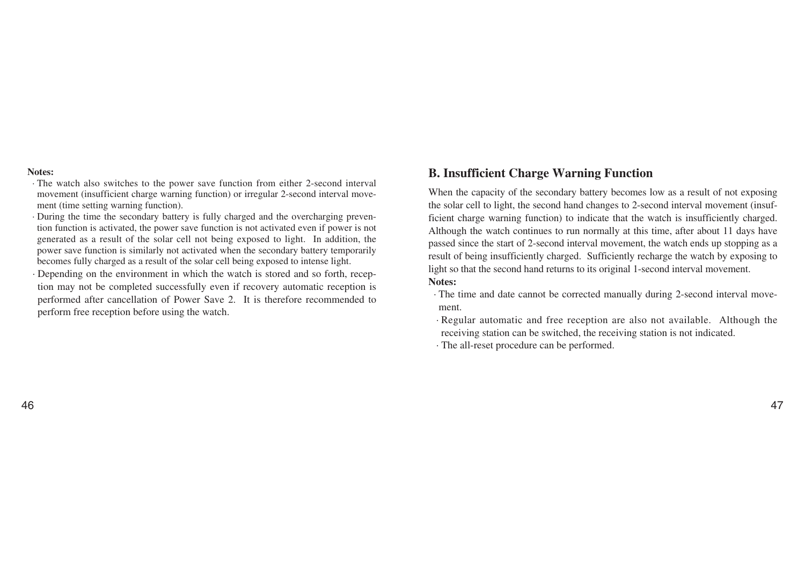#### **Notes:**

- · The watch also switches to the power save function from either 2-second interval movement (insufficient charge warning function) or irregular 2-second interval movement (time setting warning function).
- · During the time the secondary battery is fully charged and the overcharging prevention function is activated, the power save function is not activated even if power is not generated as a result of the solar cell not being exposed to light. In addition, the power save function is similarly not activated when the secondary battery temporarily becomes fully charged as a result of the solar cell being exposed to intense light.
- · Depending on the environment in which the watch is stored and so forth, reception may not be completed successfully even if recovery automatic reception is performed after cancellation of Power Save 2. It is therefore recommended to perform free reception before using the watch.

## **B. Insufficient Charge Warning Function**

When the capacity of the secondary battery becomes low as a result of not exposing the solar cell to light, the second hand changes to 2-second interval movement (insufficient charge warning function) to indicate that the watch is insufficiently charged. Although the watch continues to run normally at this time, after about 11 days have passed since the start of 2-second interval movement, the watch ends up stopping as a result of being insufficiently charged. Sufficiently recharge the watch by exposing to light so that the second hand returns to its original 1-second interval movement. **Notes:**

- · The time and date cannot be corrected manually during 2-second interval movement.
- · Regular automatic and free reception are also not available. Although the receiving station can be switched, the receiving station is not indicated.

· The all-reset procedure can be performed.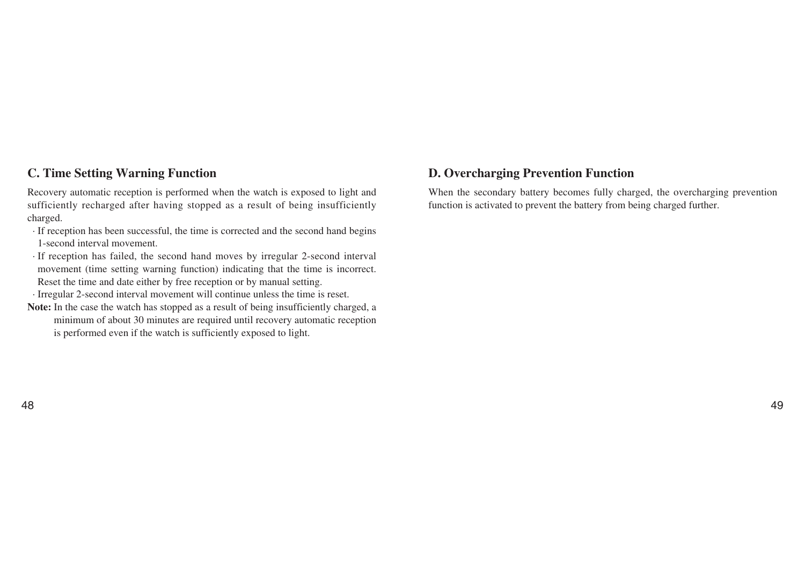## **C. Time Setting Warning Function**

Recovery automatic reception is performed when the watch is exposed to light and sufficiently recharged after having stopped as a result of being insufficiently charged.

- · If reception has been successful, the time is corrected and the second hand begins 1-second interval movement.
- · If reception has failed, the second hand moves by irregular 2-second interval movement (time setting warning function) indicating that the time is incorrect. Reset the time and date either by free reception or by manual setting.

· Irregular 2-second interval movement will continue unless the time is reset.

Note: In the case the watch has stopped as a result of being insufficiently charged, a minimum of about 30 minutes are required until recovery automatic reception is performed even if the watch is sufficiently exposed to light.

# **D. Overcharging Prevention Function**

When the secondary battery becomes fully charged, the overcharging prevention function is activated to prevent the battery from being charged further.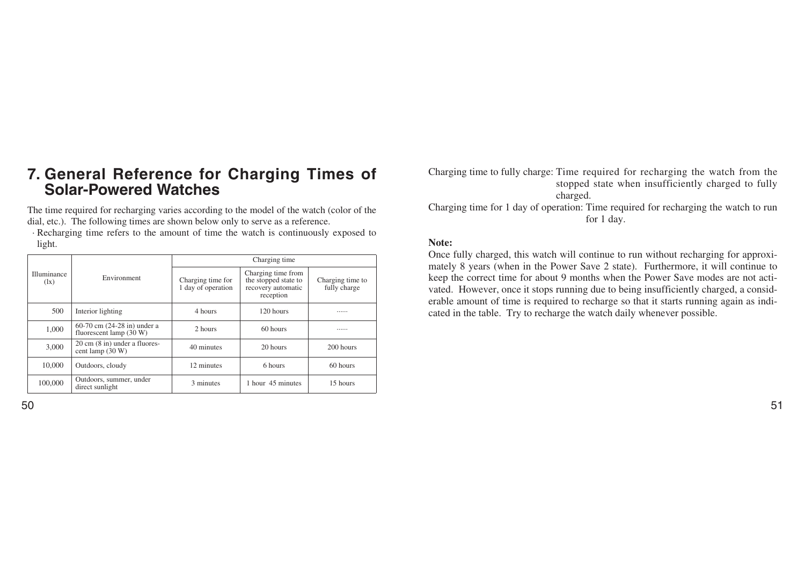# **7. General Reference for Charging Times of Solar-Powered Watches**

The time required for recharging varies according to the model of the watch (color of the dial, etc.). The following times are shown below only to serve as a reference.

· Recharging time refers to the amount of time the watch is continuously exposed to light.

|                                         |                                                             | Charging time                           |                                                                               |                                  |  |
|-----------------------------------------|-------------------------------------------------------------|-----------------------------------------|-------------------------------------------------------------------------------|----------------------------------|--|
| Illuminance<br>$(\mathbf{I}\mathbf{x})$ | Environment                                                 | Charging time for<br>1 day of operation | Charging time from<br>the stopped state to<br>recovery automatic<br>reception | Charging time to<br>fully charge |  |
| 500                                     | Interior lighting                                           | 4 hours                                 | 120 hours                                                                     |                                  |  |
| 1,000                                   | 60-70 cm (24-28 in) under a<br>fluorescent lamp $(30 W)$    | 2 hours                                 | 60 hours                                                                      |                                  |  |
| 3,000                                   | $20 \text{ cm}$ (8 in) under a fluores-<br>cent lamp (30 W) | 40 minutes                              | 20 hours                                                                      | 200 hours                        |  |
| 10,000                                  | Outdoors, cloudy                                            | 12 minutes                              | 6 hours                                                                       | 60 hours                         |  |
| 100,000                                 | Outdoors, summer, under<br>direct sunlight                  | 3 minutes                               | 1 hour 45 minutes                                                             | 15 hours                         |  |

Charging time to fully charge: Time required for recharging the watch from the stopped state when insufficiently charged to fully charged. Charging time for 1 day of operation: Time required for recharging the watch to run for 1 day.

#### **Note:**

Once fully charged, this watch will continue to run without recharging for approximately 8 years (when in the Power Save 2 state). Furthermore, it will continue to keep the correct time for about 9 months when the Power Save modes are not activated. However, once it stops running due to being insufficiently charged, a considerable amount of time is required to recharge so that it starts running again as indicated in the table. Try to recharge the watch daily whenever possible.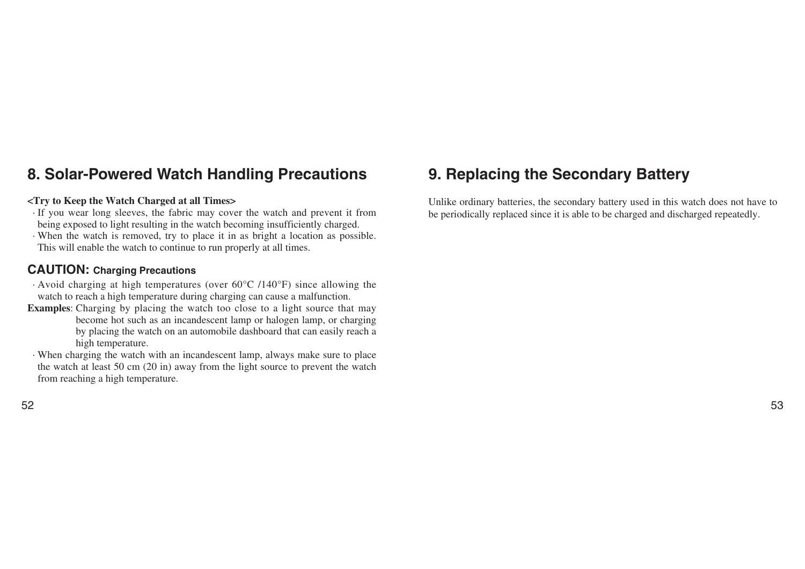# **8. Solar-Powered Watch Handling Precautions**

#### **<Try to Keep the Watch Charged at all Times>**

- · If you wear long sleeves, the fabric may cover the watch and prevent it from being exposed to light resulting in the watch becoming insufficiently charged.
- · When the watch is removed, try to place it in as bright a location as possible. This will enable the watch to continue to run properly at all times.

# **CAUTION: Charging Precautions**

- · Avoid charging at high temperatures (over 60°C /140°F) since allowing the watch to reach a high temperature during charging can cause a malfunction.
- **Examples**: Charging by placing the watch too close to a light source that may become hot such as an incandescent lamp or halogen lamp, or charging by placing the watch on an automobile dashboard that can easily reach a high temperature.
- · When charging the watch with an incandescent lamp, always make sure to place the watch at least 50 cm (20 in) away from the light source to prevent the watch from reaching a high temperature.

## 52 53

# **9. Replacing the Secondary Battery**

Unlike ordinary batteries, the secondary battery used in this watch does not have to be periodically replaced since it is able to be charged and discharged repeatedly.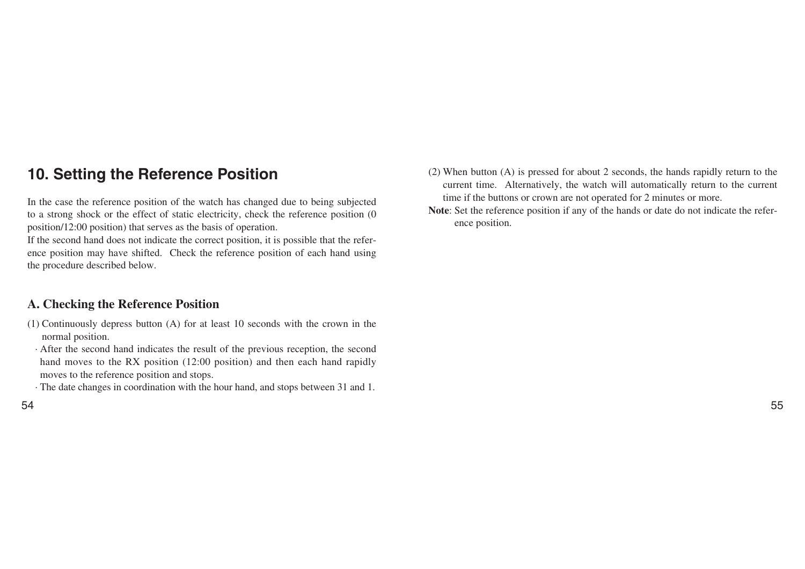# **10. Setting the Reference Position**

In the case the reference position of the watch has changed due to being subjected to a strong shock or the effect of static electricity, check the reference position (0 position/12:00 position) that serves as the basis of operation.

If the second hand does not indicate the correct position, it is possible that the reference position may have shifted. Check the reference position of each hand using the procedure described below.

# **A. Checking the Reference Position**

- (1) Continuously depress button (A) for at least 10 seconds with the crown in the normal position.
- · After the second hand indicates the result of the previous reception, the second hand moves to the RX position (12:00 position) and then each hand rapidly moves to the reference position and stops.
- · The date changes in coordination with the hour hand, and stops between 31 and 1.
- 54 55
- (2) When button (A) is pressed for about 2 seconds, the hands rapidly return to the current time. Alternatively, the watch will automatically return to the current time if the buttons or crown are not operated for 2 minutes or more.
- **Note**: Set the reference position if any of the hands or date do not indicate the reference position.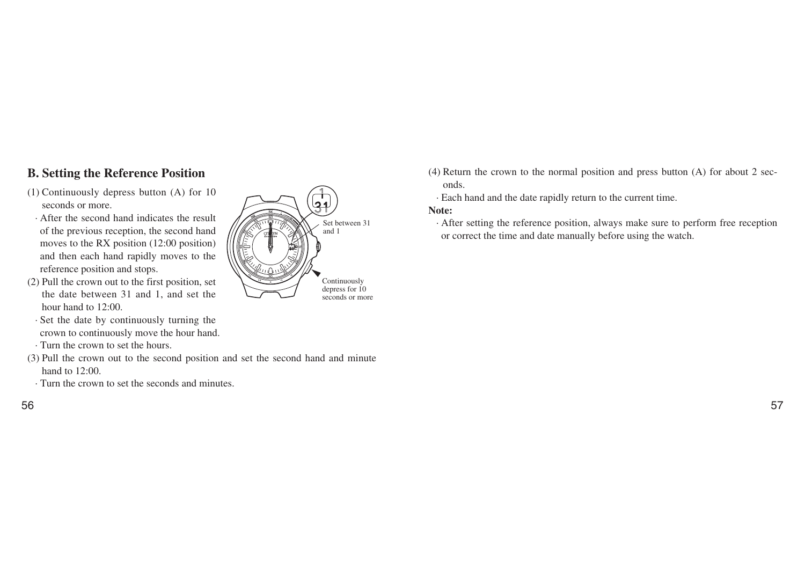# **B. Setting the Reference Position**

- (1) Continuously depress button (A) for 10 seconds or more.
- · After the second hand indicates the result of the previous reception, the second hand moves to the RX position (12:00 position) and then each hand rapidly moves to the reference position and stops.
- (2) Pull the crown out to the first position, set the date between 31 and 1, and set the hour hand to 12:00.
- · Set the date by continuously turning the crown to continuously move the hour hand.
- · Turn the crown to set the hours.
- (3) Pull the crown out to the second position and set the second hand and minute hand to 12:00.
- · Turn the crown to set the seconds and minutes.



- (4) Return the crown to the normal position and press button (A) for about 2 seconds.
	- · Each hand and the date rapidly return to the current time.

#### **Note:**

· After setting the reference position, always make sure to perform free reception or correct the time and date manually before using the watch.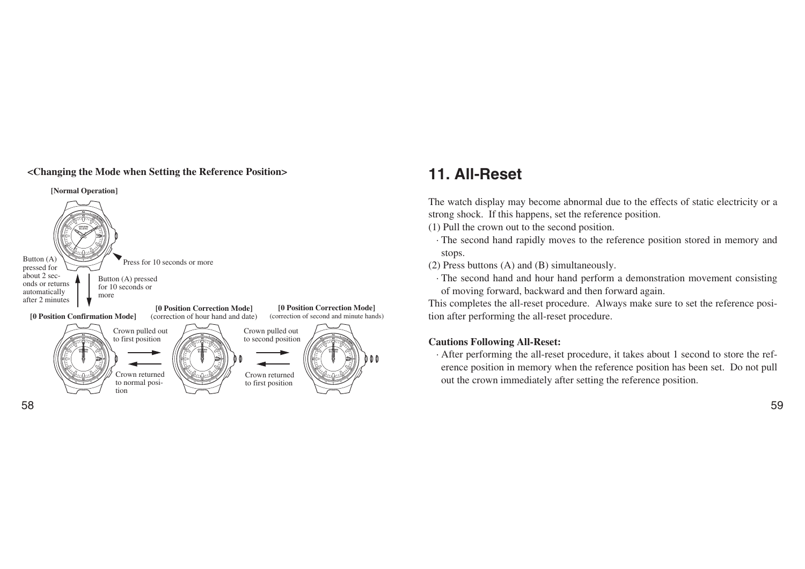## **<Changing the Mode when Setting the Reference Position> 11. All-Reset**



The watch display may become abnormal due to the effects of static electricity or a strong shock. If this happens, set the reference position.

- (1) Pull the crown out to the second position.
- · The second hand rapidly moves to the reference position stored in memory and stops.
- (2) Press buttons (A) and (B) simultaneously.
- · The second hand and hour hand perform a demonstration movement consisting of moving forward, backward and then forward again.

This completes the all-reset procedure. Always make sure to set the reference position after performing the all-reset procedure.

#### **Cautions Following All-Reset:**

· After performing the all-reset procedure, it takes about 1 second to store the reference position in memory when the reference position has been set. Do not pull out the crown immediately after setting the reference position.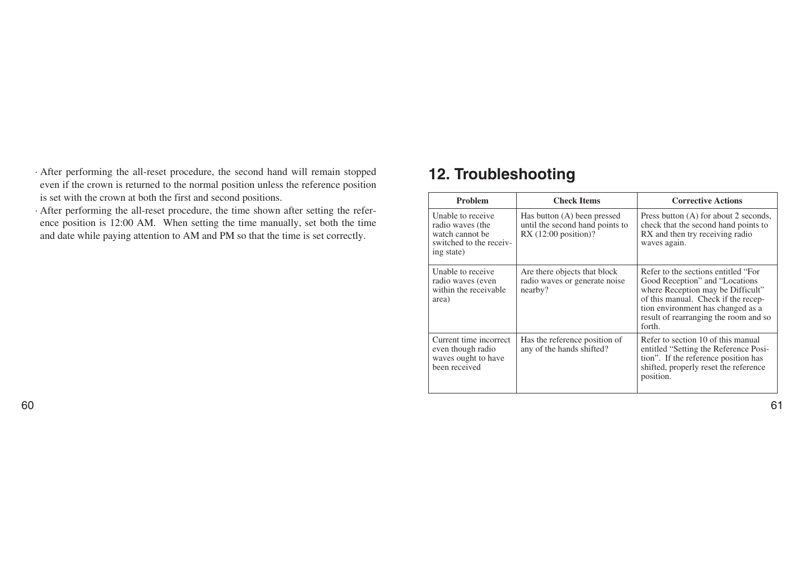- · After performing the all-reset procedure, the second hand will remain stopped even if the crown is returned to the normal position unless the reference position is set with the crown at both the first and second positions.
- · After performing the all-reset procedure, the time shown after setting the reference position is 12:00 AM. When setting the time manually, set both the time and date while paying attention to AM and PM so that the time is set correctly.

# **12. Troubleshooting**

| <b>Problem</b>                                                                                    | <b>Check Items</b>                                                                      | <b>Corrective Actions</b>                                                                                                                                                                                                                  |  |
|---------------------------------------------------------------------------------------------------|-----------------------------------------------------------------------------------------|--------------------------------------------------------------------------------------------------------------------------------------------------------------------------------------------------------------------------------------------|--|
| Unable to receive<br>radio waves (the<br>watch cannot be<br>switched to the receiv-<br>ing state) | Has button (A) been pressed<br>until the second hand points to<br>$RX(12:00$ position)? | Press button (A) for about 2 seconds,<br>check that the second hand points to<br>RX and then try receiving radio<br>waves again.                                                                                                           |  |
| Unable to receive<br>radio waves (even<br>within the receivable<br>area)                          | Are there objects that block<br>radio waves or generate noise<br>nearby?                | Refer to the sections entitled "For<br>Good Reception" and "Locations"<br>where Reception may be Difficult"<br>of this manual. Check if the recep-<br>tion environment has changed as a<br>result of rearranging the room and so<br>forth. |  |
| Current time incorrect<br>even though radio<br>waves ought to have<br>been received               | Has the reference position of<br>any of the hands shifted?                              | Refer to section 10 of this manual<br>entitled "Setting the Reference Posi-<br>tion". If the reference position has<br>shifted, properly reset the reference<br>position.                                                                  |  |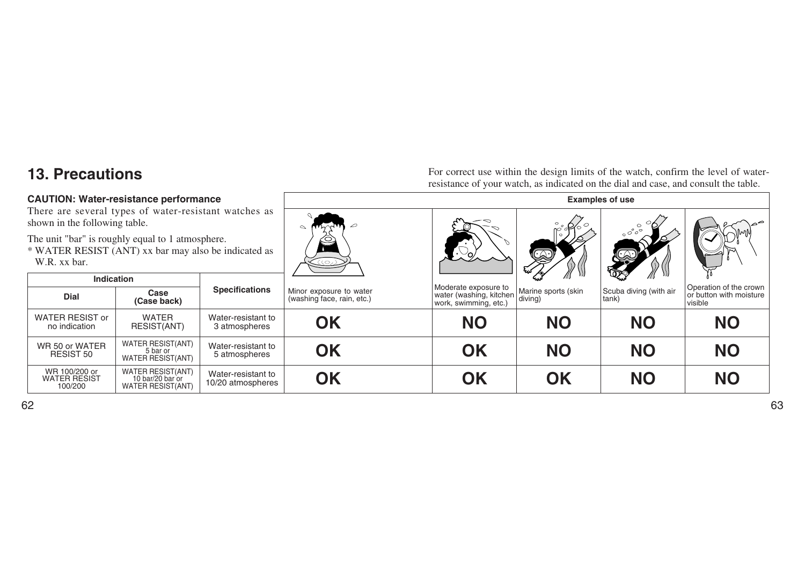# **13. Precautions**

#### **CAUTION: Water-resistance performance**

For correct use within the design limits of the watch, confirm the level of waterresistance of your watch, as indicated on the dial and case, and consult the table.

| <b>CAUTION: Water-resistance performance</b>                                                                             |                                                                          | <b>Examples of use</b>                  |                                                       |                                                  |                                |                                 |                                    |
|--------------------------------------------------------------------------------------------------------------------------|--------------------------------------------------------------------------|-----------------------------------------|-------------------------------------------------------|--------------------------------------------------|--------------------------------|---------------------------------|------------------------------------|
| There are several types of water-resistant watches as<br>shown in the following table.                                   |                                                                          |                                         |                                                       |                                                  |                                |                                 |                                    |
| The unit "bar" is roughly equal to 1 atmosphere.<br>* WATER RESIST (ANT) xx bar may also be indicated as<br>W.R. xx bar. |                                                                          | (رت)                                    |                                                       | B                                                | $\circ$ $\circ$ $\circ$        |                                 |                                    |
| <b>Indication</b>                                                                                                        |                                                                          |                                         |                                                       | Moderate exposure to                             |                                |                                 | Operation of the crown             |
| <b>Dial</b>                                                                                                              | Case<br>(Case back)                                                      | <b>Specifications</b>                   | Minor exposure to water<br>(washing face, rain, etc.) | water (washing, kitchen<br>work, swimming, etc.) | Marine sports (skin<br>diving) | Scuba diving (with air<br>tank) | or button with moisture<br>visible |
| <b>WATER RESIST or</b><br>no indication                                                                                  | <b>WATER</b><br>RESIST(ANT)                                              | Water-resistant to<br>3 atmospheres     | <b>OK</b>                                             | <b>NO</b>                                        | <b>NO</b>                      | <b>NO</b>                       | <b>NO</b>                          |
| WR 50 or WATER<br>RESIST 50                                                                                              | <b>WATER RESIST(ANT)</b><br>5 bar or<br><b>WATER RESIST(ANT)</b>         | Water-resistant to<br>5 atmospheres     | <b>OK</b>                                             | <b>OK</b>                                        | <b>NO</b>                      | <b>NO</b>                       | <b>NO</b>                          |
| WR 100/200 or<br><b>WATER RESIST</b><br>100/200                                                                          | <b>WATER RESIST(ANT)</b><br>10 bar/20 bar or<br><b>WATER RESIST(ANT)</b> | Water-resistant to<br>10/20 atmospheres | <b>OK</b>                                             | <b>OK</b>                                        | OK                             | <b>NO</b>                       | <b>NO</b>                          |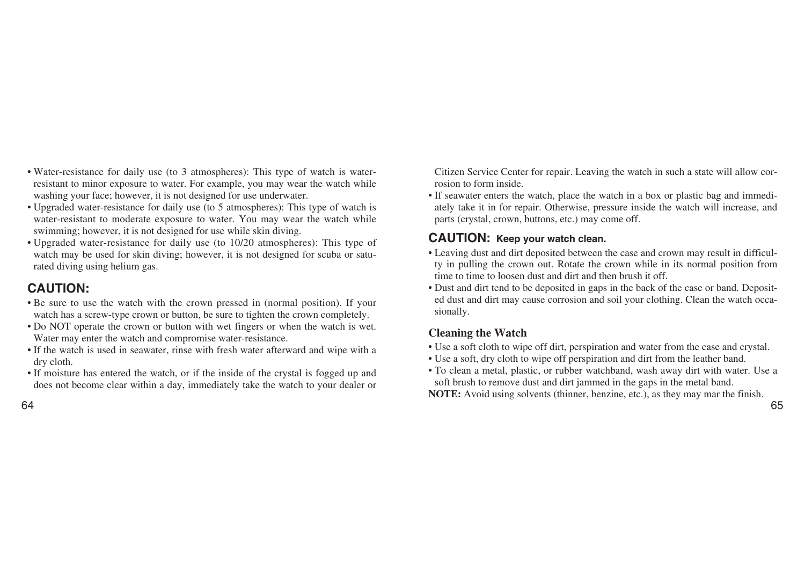- Water-resistance for daily use (to 3 atmospheres): This type of watch is waterresistant to minor exposure to water. For example, you may wear the watch while washing your face; however, it is not designed for use underwater.
- Upgraded water-resistance for daily use (to 5 atmospheres): This type of watch is water-resistant to moderate exposure to water. You may wear the watch while swimming; however, it is not designed for use while skin diving.
- Upgraded water-resistance for daily use (to 10/20 atmospheres): This type of watch may be used for skin diving; however, it is not designed for scuba or saturated diving using helium gas.

# **CAUTION:**

- Be sure to use the watch with the crown pressed in (normal position). If your watch has a screw-type crown or button, be sure to tighten the crown completely.
- Do NOT operate the crown or button with wet fingers or when the watch is wet. Water may enter the watch and compromise water-resistance.
- If the watch is used in seawater, rinse with fresh water afterward and wipe with a dry cloth.
- If moisture has entered the watch, or if the inside of the crystal is fogged up and does not become clear within a day, immediately take the watch to your dealer or

Citizen Service Center for repair. Leaving the watch in such a state will allow corrosion to form inside.

• If seawater enters the watch, place the watch in a box or plastic bag and immediately take it in for repair. Otherwise, pressure inside the watch will increase, and parts (crystal, crown, buttons, etc.) may come off.

# **CAUTION: Keep your watch clean.**

- Leaving dust and dirt deposited between the case and crown may result in difficulty in pulling the crown out. Rotate the crown while in its normal position from time to time to loosen dust and dirt and then brush it off.
- Dust and dirt tend to be deposited in gaps in the back of the case or band. Deposited dust and dirt may cause corrosion and soil your clothing. Clean the watch occasionally.

# **Cleaning the Watch**

- Use a soft cloth to wipe off dirt, perspiration and water from the case and crystal.
- Use a soft, dry cloth to wipe off perspiration and dirt from the leather band.
- To clean a metal, plastic, or rubber watchband, wash away dirt with water. Use a soft brush to remove dust and dirt jammed in the gaps in the metal band.

**NOTE:** Avoid using solvents (thinner, benzine, etc.), as they may mar the finish.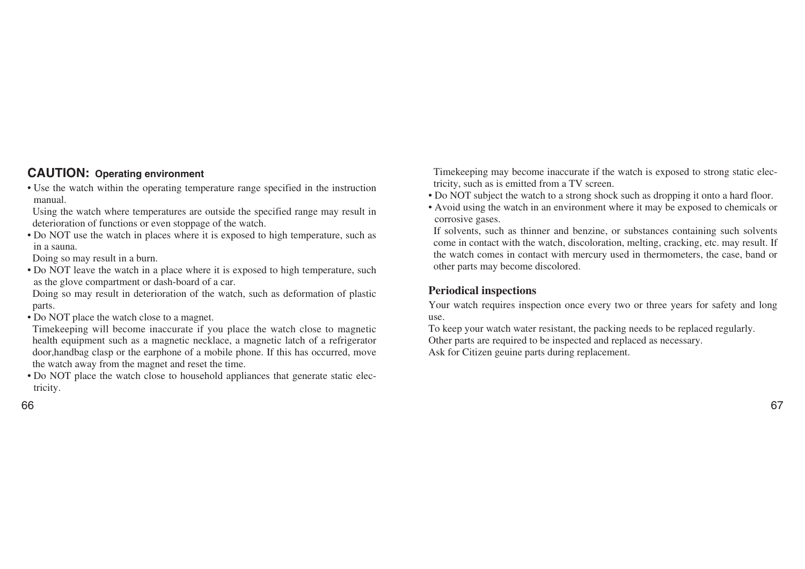# **CAUTION: Operating environment**

• Use the watch within the operating temperature range specified in the instruction manual.

Using the watch where temperatures are outside the specified range may result in deterioration of functions or even stoppage of the watch.

• Do NOT use the watch in places where it is exposed to high temperature, such as in a sauna.

Doing so may result in a burn.

• Do NOT leave the watch in a place where it is exposed to high temperature, such as the glove compartment or dash-board of a car.

Doing so may result in deterioration of the watch, such as deformation of plastic parts.

• Do NOT place the watch close to a magnet.

Timekeeping will become inaccurate if you place the watch close to magnetic health equipment such as a magnetic necklace, a magnetic latch of a refrigerator door,handbag clasp or the earphone of a mobile phone. If this has occurred, move the watch away from the magnet and reset the time.

• Do NOT place the watch close to household appliances that generate static electricity.

66 67

Timekeeping may become inaccurate if the watch is exposed to strong static electricity, such as is emitted from a TV screen.

- Do NOT subject the watch to a strong shock such as dropping it onto a hard floor.
- Avoid using the watch in an environment where it may be exposed to chemicals or corrosive gases.

If solvents, such as thinner and benzine, or substances containing such solvents come in contact with the watch, discoloration, melting, cracking, etc. may result. If the watch comes in contact with mercury used in thermometers, the case, band or other parts may become discolored.

## **Periodical inspections**

Your watch requires inspection once every two or three years for safety and long use.

To keep your watch water resistant, the packing needs to be replaced regularly. Other parts are required to be inspected and replaced as necessary. Ask for Citizen geuine parts during replacement.